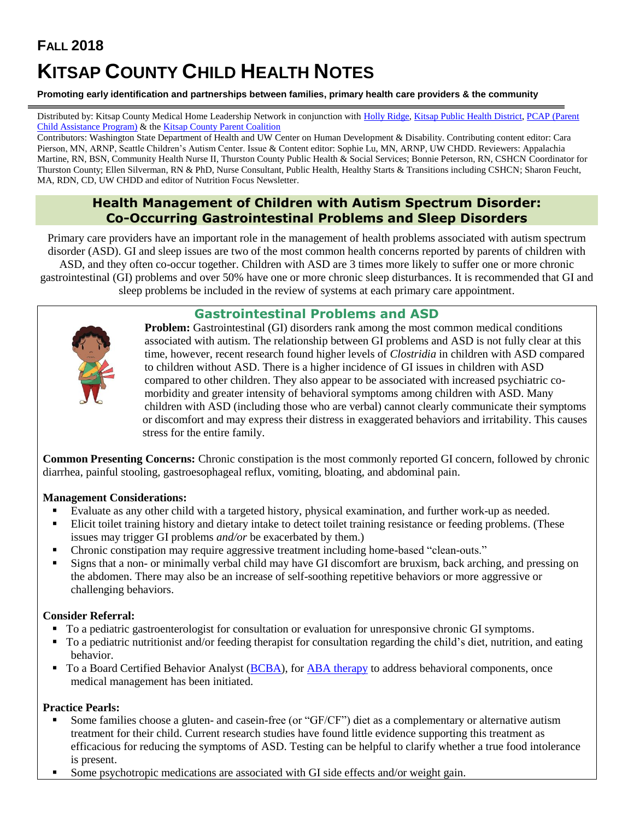# **FALL 2018 KITSAP COUNTY CHILD HEALTH NOTES**

#### **Promoting early identification and partnerships between families, primary health care providers & the community**

Distributed by: Kitsap County Medical Home Leadership Network in conjunction with [Holly Ridge,](https://hollyridge.org/infant-toddler-program-overview/) [Kitsap Public Health District,](http://www.kitsappublichealth.org/communityHealth/CSHCN.php) [PCAP \(Parent](http://agapekitsap.org/pcap/2616531)  [Child Assistance Program\)](http://agapekitsap.org/pcap/2616531) & th[e Kitsap County Parent Coalition](http://www.kitsapcountyparentcoalition.com/index.html)

Contributors: Washington State Department of Health and UW Center on Human Development & Disability. Contributing content editor: Cara Pierson, MN, ARNP, Seattle Children's Autism Center. Issue & Content editor: Sophie Lu, MN, ARNP, UW CHDD. Reviewers: Appalachia Martine, RN, BSN, Community Health Nurse II, Thurston County Public Health & Social Services; Bonnie Peterson, RN, CSHCN Coordinator for Thurston County; Ellen Silverman, RN & PhD, Nurse Consultant, Public Health, Healthy Starts & Transitions including CSHCN; Sharon Feucht, MA, RDN, CD, UW CHDD and editor of Nutrition Focus Newsletter.

## **Health Management of Children with Autism Spectrum Disorder: Co-Occurring Gastrointestinal Problems and Sleep Disorders**

Primary care providers have an important role in the management of health problems associated with autism spectrum disorder (ASD). GI and sleep issues are two of the most common health concerns reported by parents of children with ASD, and they often co-occur together. Children with ASD are 3 times more likely to suffer one or more chronic gastrointestinal (GI) problems and over 50% have one or more chronic sleep disturbances. It is recommended that GI and sleep problems be included in the review of systems at each primary care appointment.

## **Gastrointestinal Problems and ASD**



**Problem:** Gastrointestinal (GI) disorders rank among the most common medical conditions associated with autism. The relationship between GI problems and ASD is not fully clear at this time, however, recent research found higher levels of *Clostridia* in children with ASD compared to children without ASD. There is a higher incidence of GI issues in children with ASD compared to other children. They also appear to be associated with increased psychiatric comorbidity and greater intensity of behavioral symptoms among children with ASD. Many children with ASD (including those who are verbal) cannot clearly communicate their symptoms or discomfort and may express their distress in exaggerated behaviors and irritability. This causes stress for the entire family.

**Common Presenting Concerns:** Chronic constipation is the most commonly reported GI concern, followed by chronic diarrhea, painful stooling, gastroesophageal reflux, vomiting, bloating, and abdominal pain.

#### **Management Considerations:**

- Evaluate as any other child with a targeted history, physical examination, and further work-up as needed.
- Elicit toilet training history and dietary intake to detect toilet training resistance or feeding problems. (These issues may trigger GI problems *and/or* be exacerbated by them.)
- Chronic constipation may require aggressive treatment including home-based "clean-outs."
- **Example 1** Signs that a non- or minimally verbal child may have GI discomfort are bruxism, back arching, and pressing on the abdomen. There may also be an increase of self-soothing repetitive behaviors or more aggressive or challenging behaviors.

#### **Consider Referral:**

- To a pediatric gastroenterologist for consultation or evaluation for unresponsive chronic GI symptoms.
- To a pediatric nutritionist and/or feeding therapist for consultation regarding the child's diet, nutrition, and eating behavior.
- To a Board Certified Behavior Analyst [\(BCBA\)](https://www.bacb.com/bcba/), for [ABA therapy](#page-2-0) to address behavioral components, once medical management has been initiated.

#### **Practice Pearls:**

- Some families choose a gluten- and casein-free (or "GF/CF") diet as a complementary or alternative autism treatment for their child. Current research studies have found little evidence supporting this treatment as efficacious for reducing the symptoms of ASD. Testing can be helpful to clarify whether a true food intolerance is present.
- **•** Some psychotropic medications are associated with GI side effects and/or weight gain.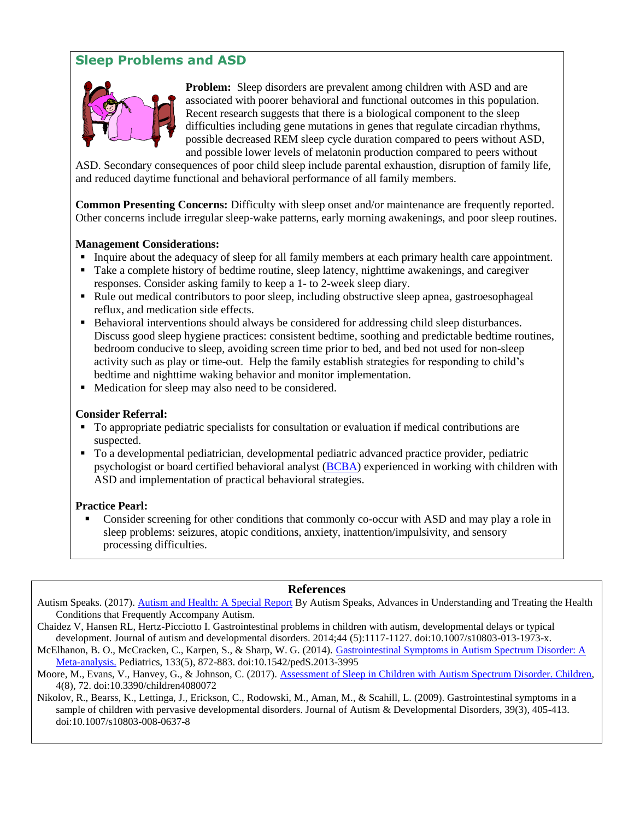# **Sleep Problems and ASD**



**Problem:** Sleep disorders are prevalent among children with ASD and are associated with poorer behavioral and functional outcomes in this population. Recent research suggests that there is a biological component to the sleep difficulties including gene mutations in genes that regulate circadian rhythms, possible decreased REM sleep cycle duration compared to peers without ASD, and possible lower levels of melatonin production compared to peers without

ASD. Secondary consequences of poor child sleep include parental exhaustion, disruption of family life, and reduced daytime functional and behavioral performance of all family members.

**Common Presenting Concerns:** Difficulty with sleep onset and/or maintenance are frequently reported. Other concerns include irregular sleep-wake patterns, early morning awakenings, and poor sleep routines.

#### **Management Considerations:**

- Inquire about the adequacy of sleep for all family members at each primary health care appointment.
- Take a complete history of bedtime routine, sleep latency, nighttime awakenings, and caregiver responses. Consider asking family to keep a 1- to 2-week sleep diary.
- Rule out medical contributors to poor sleep, including obstructive sleep apnea, gastroesophageal reflux, and medication side effects.
- Behavioral interventions should always be considered for addressing child sleep disturbances. Discuss good sleep hygiene practices: consistent bedtime, soothing and predictable bedtime routines, bedroom conducive to sleep, avoiding screen time prior to bed, and bed not used for non-sleep activity such as play or time-out. Help the family establish strategies for responding to child's bedtime and nighttime waking behavior and monitor implementation.
- Medication for sleep may also need to be considered.

#### **Consider Referral:**

- To appropriate pediatric specialists for consultation or evaluation if medical contributions are suspected.
- To a developmental pediatrician, developmental pediatric advanced practice provider, pediatric psychologist or board certified behavioral analyst [\(BCBA\)](https://www.bacb.com/bcba/) experienced in working with children with ASD and implementation of practical behavioral strategies.

#### **Practice Pearl:**

**• Consider screening for other conditions that commonly co-occur with ASD and may play a role in** sleep problems: seizures, atopic conditions, anxiety, inattention/impulsivity, and sensory processing difficulties.

#### **References**

Autism Speaks. (2017). [Autism and Health: A Special Report](https://www.autismspeaks.org/sites/default/files/docs/facts_and_figures_report_final_v3.pdf) By Autism Speaks, Advances in Understanding and Treating the Health Conditions that Frequently Accompany Autism.

Chaidez V, Hansen RL, Hertz-Picciotto I. Gastrointestinal problems in children with autism, developmental delays or typical development. Journal of autism and developmental disorders. 2014;44 (5):1117-1127. doi:10.1007/s10803-013-1973-x.

McElhanon, B. O., McCracken, C., Karpen, S., & Sharp, W. G. (2014). [Gastrointestinal Symptoms in Autism Spectrum Disorder: A](http://pediatrics.aappublications.org/content/133/5/872.long)  [Meta-analysis.](http://pediatrics.aappublications.org/content/133/5/872.long) Pediatrics, 133(5), 872-883. doi:10.1542/pedS.2013-3995

Moore, M., Evans, V., Hanvey, G., & Johnson, C. (2017). [Assessment of Sleep in Children with Autism Spectrum Disorder. Children,](http://www.mdpi.com/2227-9067/4/8/72) 4(8), 72. doi:10.3390/children4080072

Nikolov, R., Bearss, K., Lettinga, J., Erickson, C., Rodowski, M., Aman, M., & Scahill, L. (2009). Gastrointestinal symptoms in a sample of children with pervasive developmental disorders. Journal of Autism & Developmental Disorders, 39(3), 405-413. doi:10.1007/s10803-008-0637-8